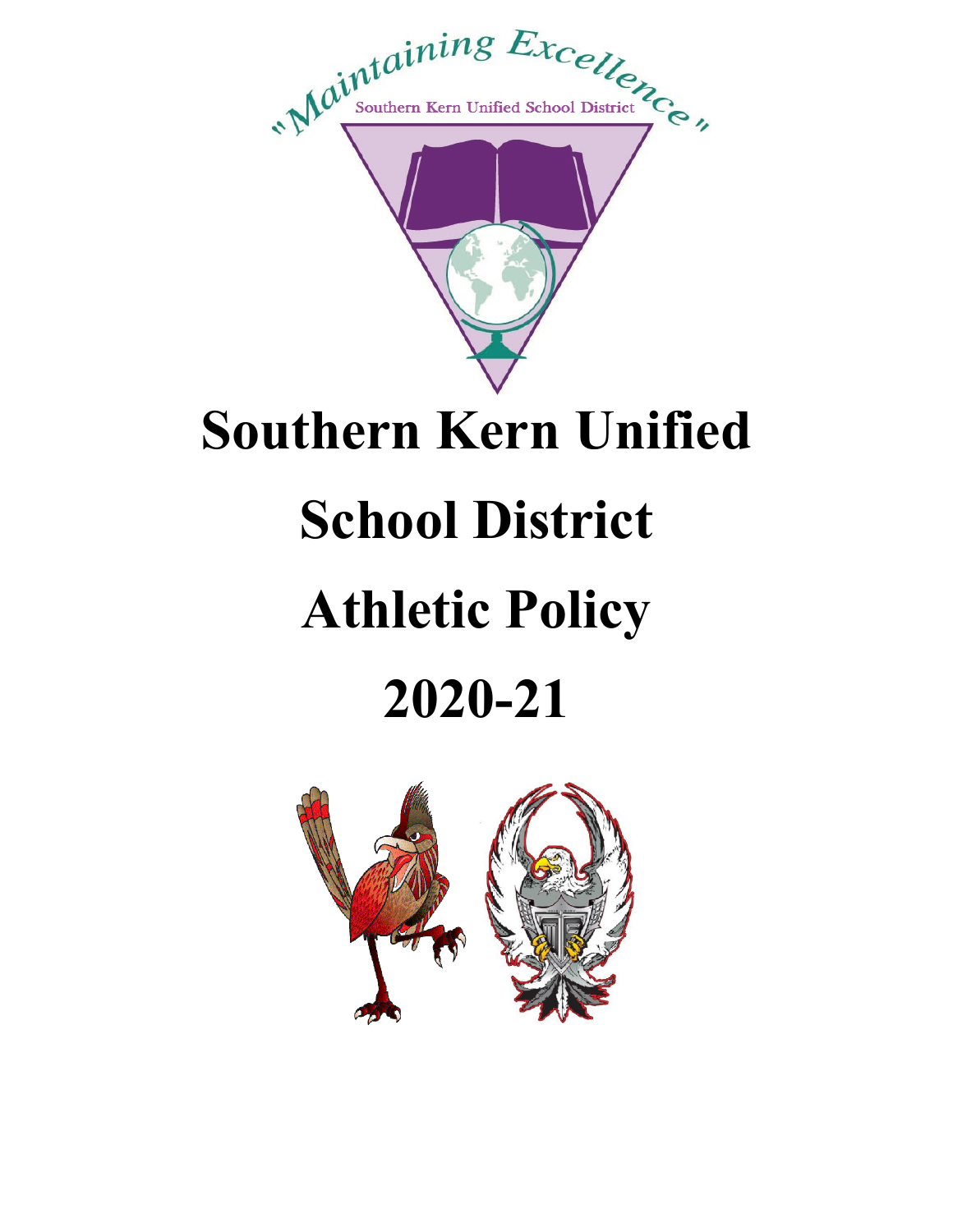

## **Southern Kern Unified**

# **School District**

# **Athletic Policy**

# **2020-21**

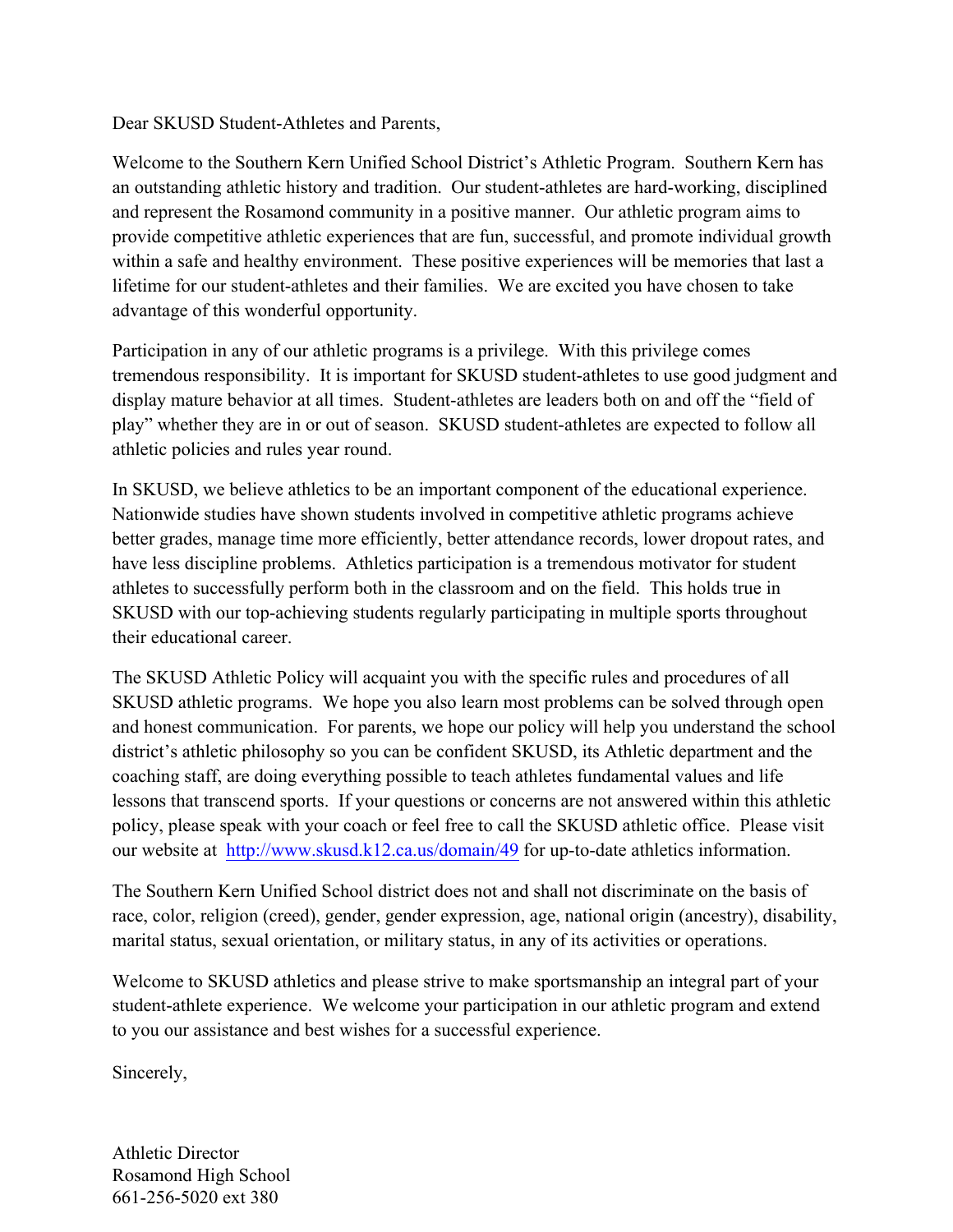Dear SKUSD Student-Athletes and Parents,

Welcome to the Southern Kern Unified School District's Athletic Program. Southern Kern has an outstanding athletic history and tradition. Our student-athletes are hard-working, disciplined and represent the Rosamond community in a positive manner. Our athletic program aims to provide competitive athletic experiences that are fun, successful, and promote individual growth within a safe and healthy environment. These positive experiences will be memories that last a lifetime for our student-athletes and their families. We are excited you have chosen to take advantage of this wonderful opportunity.

Participation in any of our athletic programs is a privilege. With this privilege comes tremendous responsibility. It is important for SKUSD student-athletes to use good judgment and display mature behavior at all times. Student-athletes are leaders both on and off the "field of play" whether they are in or out of season. SKUSD student-athletes are expected to follow all athletic policies and rules year round.

In SKUSD, we believe athletics to be an important component of the educational experience. Nationwide studies have shown students involved in competitive athletic programs achieve better grades, manage time more efficiently, better attendance records, lower dropout rates, and have less discipline problems. Athletics participation is a tremendous motivator for student athletes to successfully perform both in the classroom and on the field. This holds true in SKUSD with our top-achieving students regularly participating in multiple sports throughout their educational career.

The SKUSD Athletic Policy will acquaint you with the specific rules and procedures of all SKUSD athletic programs. We hope you also learn most problems can be solved through open and honest communication. For parents, we hope our policy will help you understand the school district's athletic philosophy so you can be confident SKUSD, its Athletic department and the coaching staff, are doing everything possible to teach athletes fundamental values and life lessons that transcend sports. If your questions or concerns are not answered within this athletic policy, please speak with your coach or feel free to call the SKUSD athletic office. Please visit our website at http://www.skusd.k12.ca.us/domain/49 for up-to-date athletics information.

The Southern Kern Unified School district does not and shall not discriminate on the basis of race, color, religion (creed), gender, gender expression, age, national origin (ancestry), disability, marital status, sexual orientation, or military status, in any of its activities or operations.

Welcome to SKUSD athletics and please strive to make sportsmanship an integral part of your student-athlete experience. We welcome your participation in our athletic program and extend to you our assistance and best wishes for a successful experience.

Sincerely,

Athletic Director Rosamond High School 661-256-5020 ext 380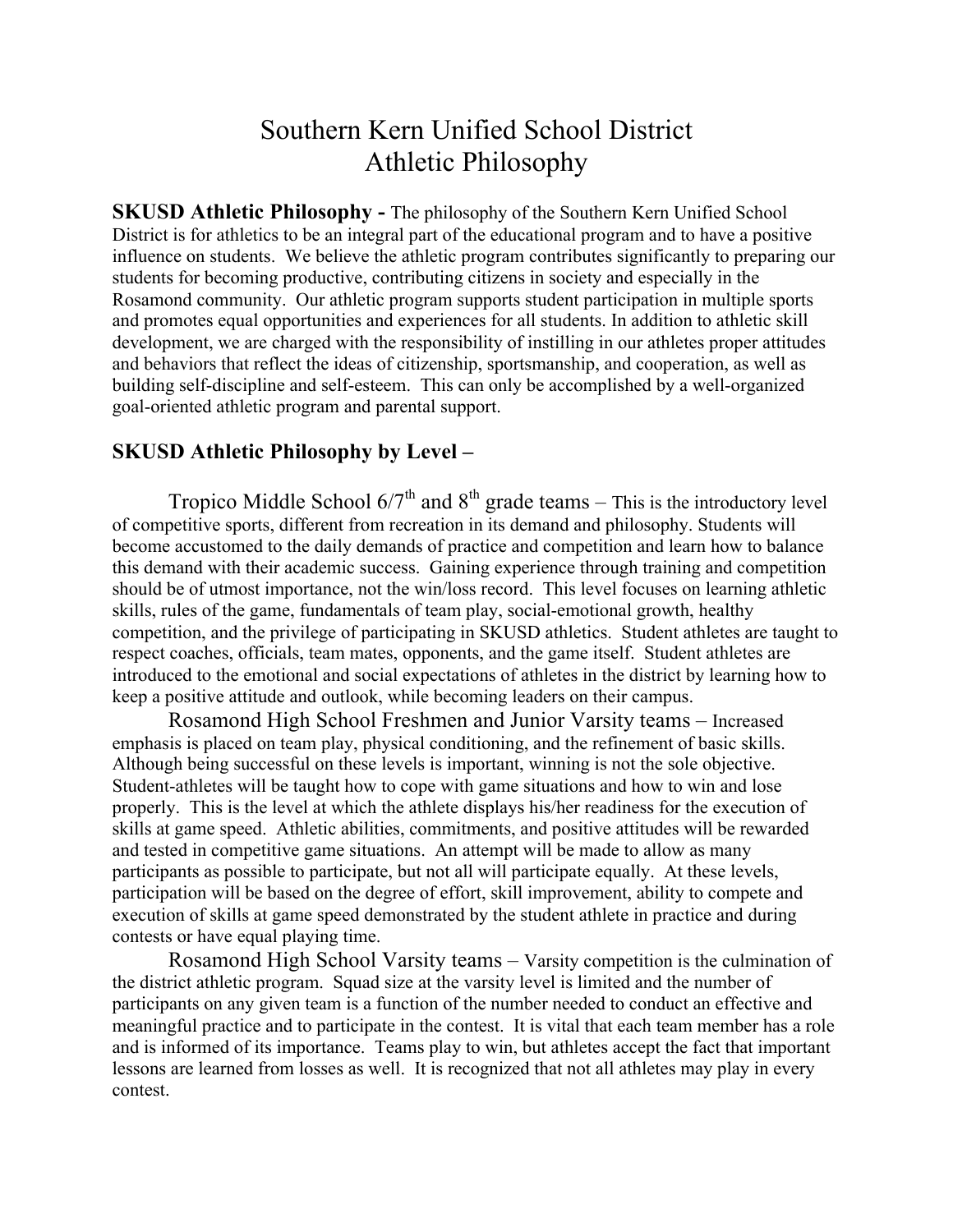#### Southern Kern Unified School District Athletic Philosophy

**SKUSD Athletic Philosophy -** The philosophy of the Southern Kern Unified School District is for athletics to be an integral part of the educational program and to have a positive influence on students. We believe the athletic program contributes significantly to preparing our students for becoming productive, contributing citizens in society and especially in the Rosamond community. Our athletic program supports student participation in multiple sports and promotes equal opportunities and experiences for all students. In addition to athletic skill development, we are charged with the responsibility of instilling in our athletes proper attitudes and behaviors that reflect the ideas of citizenship, sportsmanship, and cooperation, as well as building self-discipline and self-esteem. This can only be accomplished by a well-organized goal-oriented athletic program and parental support.

#### **SKUSD Athletic Philosophy by Level –**

Tropico Middle School  $6/7<sup>th</sup>$  and  $8<sup>th</sup>$  grade teams – This is the introductory level of competitive sports, different from recreation in its demand and philosophy. Students will become accustomed to the daily demands of practice and competition and learn how to balance this demand with their academic success. Gaining experience through training and competition should be of utmost importance, not the win/loss record. This level focuses on learning athletic skills, rules of the game, fundamentals of team play, social-emotional growth, healthy competition, and the privilege of participating in SKUSD athletics. Student athletes are taught to respect coaches, officials, team mates, opponents, and the game itself. Student athletes are introduced to the emotional and social expectations of athletes in the district by learning how to keep a positive attitude and outlook, while becoming leaders on their campus.

Rosamond High School Freshmen and Junior Varsity teams – Increased emphasis is placed on team play, physical conditioning, and the refinement of basic skills. Although being successful on these levels is important, winning is not the sole objective. Student-athletes will be taught how to cope with game situations and how to win and lose properly. This is the level at which the athlete displays his/her readiness for the execution of skills at game speed. Athletic abilities, commitments, and positive attitudes will be rewarded and tested in competitive game situations. An attempt will be made to allow as many participants as possible to participate, but not all will participate equally. At these levels, participation will be based on the degree of effort, skill improvement, ability to compete and execution of skills at game speed demonstrated by the student athlete in practice and during contests or have equal playing time.

Rosamond High School Varsity teams – Varsity competition is the culmination of the district athletic program. Squad size at the varsity level is limited and the number of participants on any given team is a function of the number needed to conduct an effective and meaningful practice and to participate in the contest. It is vital that each team member has a role and is informed of its importance. Teams play to win, but athletes accept the fact that important lessons are learned from losses as well. It is recognized that not all athletes may play in every contest.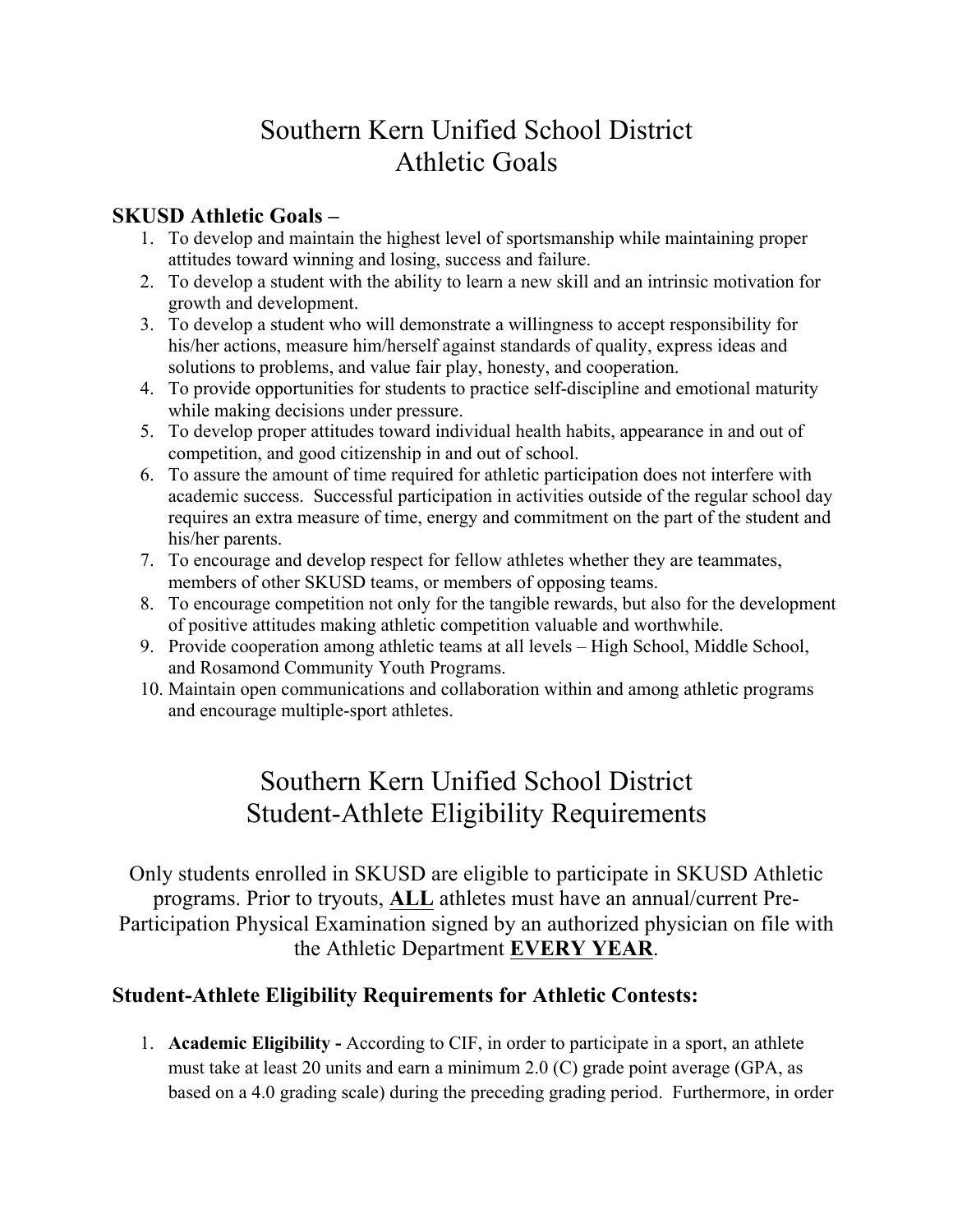### Southern Kern Unified School District Athletic Goals

#### **SKUSD Athletic Goals –**

- 1. To develop and maintain the highest level of sportsmanship while maintaining proper attitudes toward winning and losing, success and failure.
- 2. To develop a student with the ability to learn a new skill and an intrinsic motivation for growth and development.
- 3. To develop a student who will demonstrate a willingness to accept responsibility for his/her actions, measure him/herself against standards of quality, express ideas and solutions to problems, and value fair play, honesty, and cooperation.
- 4. To provide opportunities for students to practice self-discipline and emotional maturity while making decisions under pressure.
- 5. To develop proper attitudes toward individual health habits, appearance in and out of competition, and good citizenship in and out of school.
- 6. To assure the amount of time required for athletic participation does not interfere with academic success. Successful participation in activities outside of the regular school day requires an extra measure of time, energy and commitment on the part of the student and his/her parents.
- 7. To encourage and develop respect for fellow athletes whether they are teammates, members of other SKUSD teams, or members of opposing teams.
- 8. To encourage competition not only for the tangible rewards, but also for the development of positive attitudes making athletic competition valuable and worthwhile.
- 9. Provide cooperation among athletic teams at all levels High School, Middle School, and Rosamond Community Youth Programs.
- 10. Maintain open communications and collaboration within and among athletic programs and encourage multiple-sport athletes.

### Southern Kern Unified School District Student-Athlete Eligibility Requirements

Only students enrolled in SKUSD are eligible to participate in SKUSD Athletic programs. Prior to tryouts, **ALL** athletes must have an annual/current Pre-Participation Physical Examination signed by an authorized physician on file with the Athletic Department **EVERY YEAR**.

#### **Student-Athlete Eligibility Requirements for Athletic Contests:**

1. **Academic Eligibility -** According to CIF, in order to participate in a sport, an athlete must take at least 20 units and earn a minimum 2.0 (C) grade point average (GPA, as based on a 4.0 grading scale) during the preceding grading period. Furthermore, in order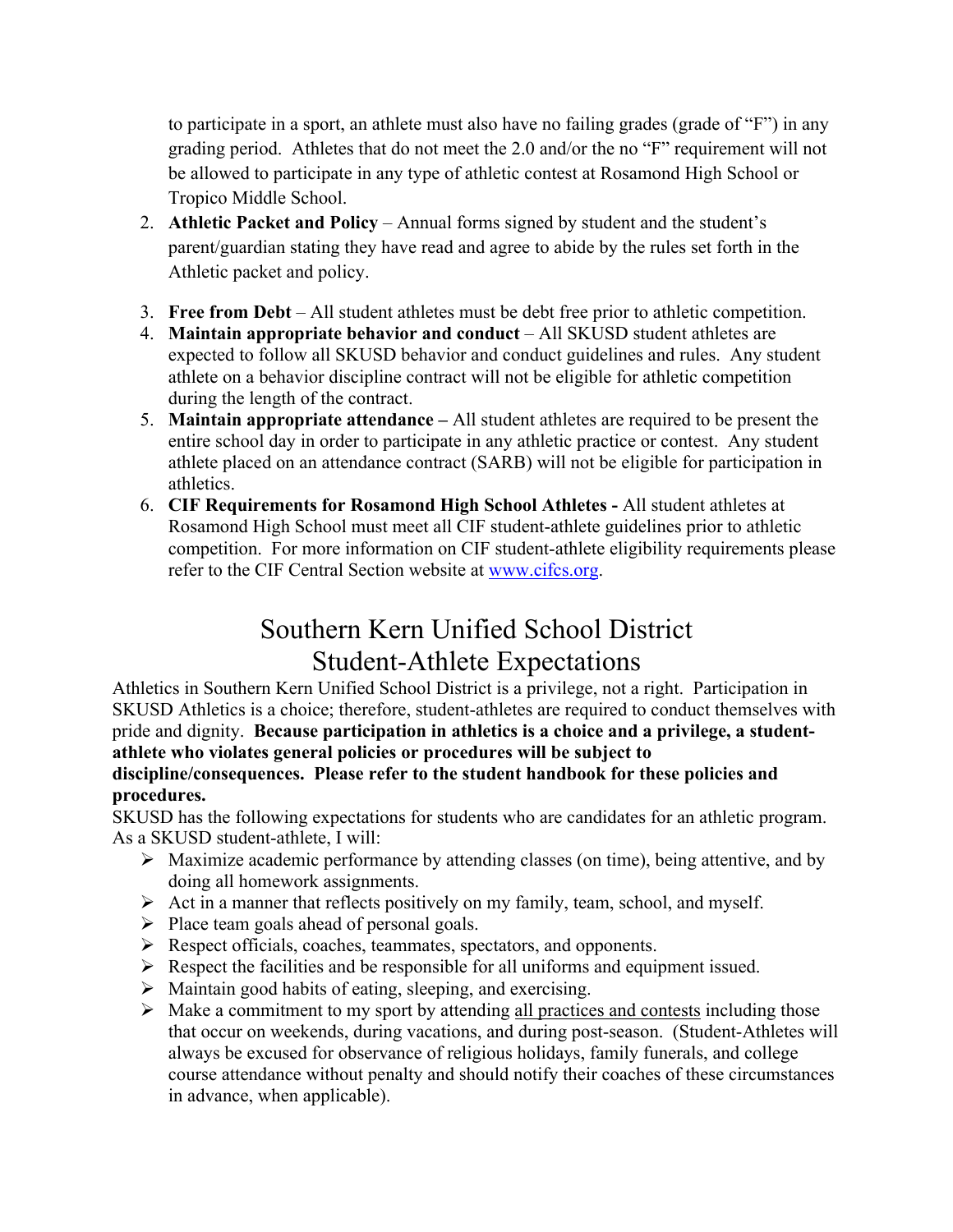to participate in a sport, an athlete must also have no failing grades (grade of "F") in any grading period. Athletes that do not meet the 2.0 and/or the no "F" requirement will not be allowed to participate in any type of athletic contest at Rosamond High School or Tropico Middle School.

- 2. **Athletic Packet and Policy** Annual forms signed by student and the student's parent/guardian stating they have read and agree to abide by the rules set forth in the Athletic packet and policy.
- 3. **Free from Debt** All student athletes must be debt free prior to athletic competition.
- 4. **Maintain appropriate behavior and conduct** All SKUSD student athletes are expected to follow all SKUSD behavior and conduct guidelines and rules. Any student athlete on a behavior discipline contract will not be eligible for athletic competition during the length of the contract.
- 5. **Maintain appropriate attendance –** All student athletes are required to be present the entire school day in order to participate in any athletic practice or contest. Any student athlete placed on an attendance contract (SARB) will not be eligible for participation in athletics.
- 6. **CIF Requirements for Rosamond High School Athletes -** All student athletes at Rosamond High School must meet all CIF student-athlete guidelines prior to athletic competition. For more information on CIF student-athlete eligibility requirements please refer to the CIF Central Section website at www.cifcs.org.

## Southern Kern Unified School District Student-Athlete Expectations

Athletics in Southern Kern Unified School District is a privilege, not a right. Participation in SKUSD Athletics is a choice; therefore, student-athletes are required to conduct themselves with pride and dignity. **Because participation in athletics is a choice and a privilege, a studentathlete who violates general policies or procedures will be subject to discipline/consequences. Please refer to the student handbook for these policies and procedures.**

SKUSD has the following expectations for students who are candidates for an athletic program. As a SKUSD student-athlete, I will:

- $\triangleright$  Maximize academic performance by attending classes (on time), being attentive, and by doing all homework assignments.
- $\triangleright$  Act in a manner that reflects positively on my family, team, school, and myself.
- $\triangleright$  Place team goals ahead of personal goals.
- Ø Respect officials, coaches, teammates, spectators, and opponents.
- $\triangleright$  Respect the facilities and be responsible for all uniforms and equipment issued.
- $\triangleright$  Maintain good habits of eating, sleeping, and exercising.
- $\triangleright$  Make a commitment to my sport by attending all practices and contests including those that occur on weekends, during vacations, and during post-season. (Student-Athletes will always be excused for observance of religious holidays, family funerals, and college course attendance without penalty and should notify their coaches of these circumstances in advance, when applicable).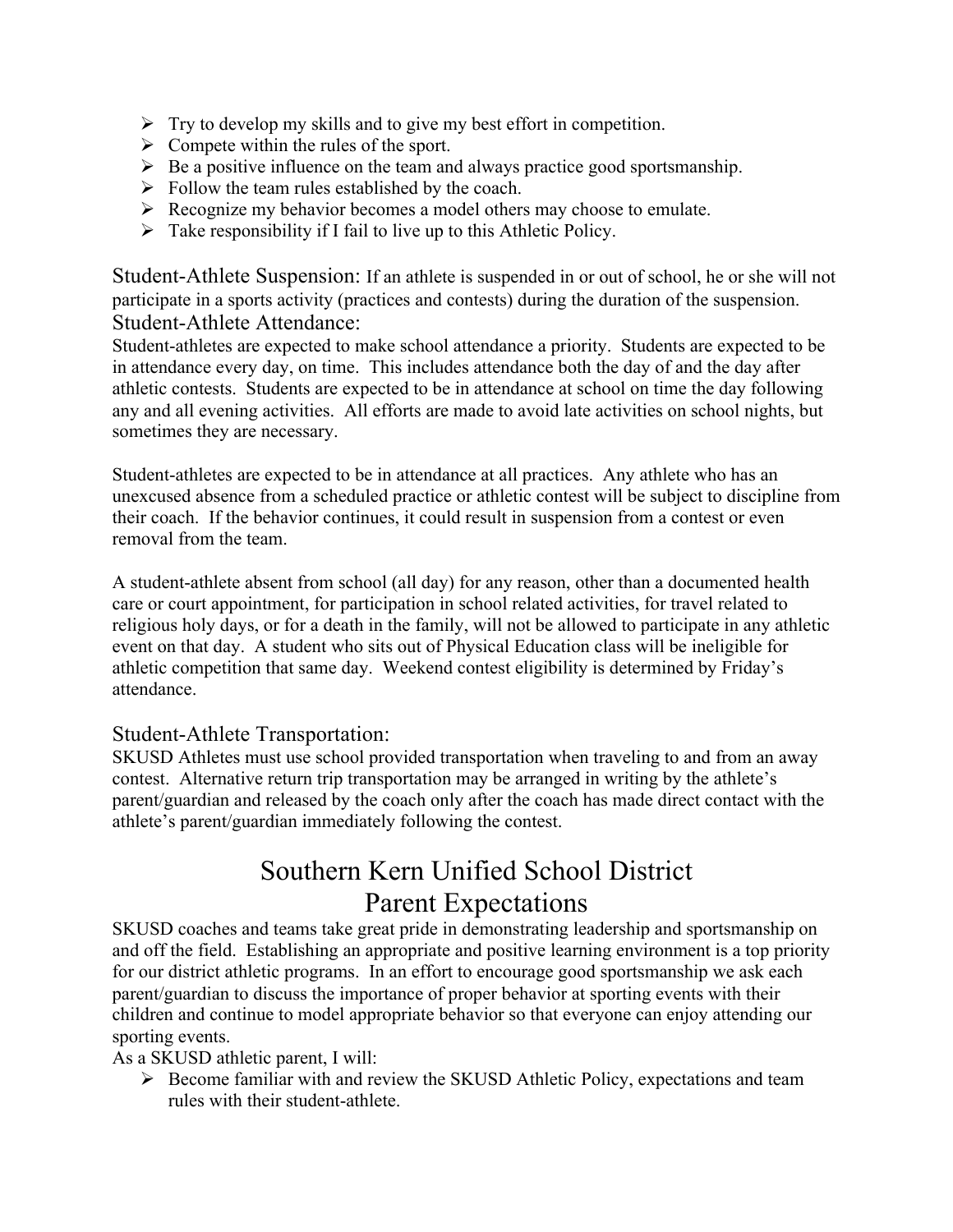- $\triangleright$  Try to develop my skills and to give my best effort in competition.
- $\triangleright$  Compete within the rules of the sport.
- $\triangleright$  Be a positive influence on the team and always practice good sportsmanship.
- $\triangleright$  Follow the team rules established by the coach.
- $\triangleright$  Recognize my behavior becomes a model others may choose to emulate.
- $\triangleright$  Take responsibility if I fail to live up to this Athletic Policy.

Student-Athlete Suspension: If an athlete is suspended in or out of school, he or she will not participate in a sports activity (practices and contests) during the duration of the suspension. Student-Athlete Attendance:

Student-athletes are expected to make school attendance a priority. Students are expected to be in attendance every day, on time. This includes attendance both the day of and the day after athletic contests. Students are expected to be in attendance at school on time the day following any and all evening activities. All efforts are made to avoid late activities on school nights, but sometimes they are necessary.

Student-athletes are expected to be in attendance at all practices. Any athlete who has an unexcused absence from a scheduled practice or athletic contest will be subject to discipline from their coach. If the behavior continues, it could result in suspension from a contest or even removal from the team.

A student-athlete absent from school (all day) for any reason, other than a documented health care or court appointment, for participation in school related activities, for travel related to religious holy days, or for a death in the family, will not be allowed to participate in any athletic event on that day. A student who sits out of Physical Education class will be ineligible for athletic competition that same day. Weekend contest eligibility is determined by Friday's attendance.

#### Student-Athlete Transportation:

SKUSD Athletes must use school provided transportation when traveling to and from an away contest. Alternative return trip transportation may be arranged in writing by the athlete's parent/guardian and released by the coach only after the coach has made direct contact with the athlete's parent/guardian immediately following the contest.

### Southern Kern Unified School District Parent Expectations

SKUSD coaches and teams take great pride in demonstrating leadership and sportsmanship on and off the field. Establishing an appropriate and positive learning environment is a top priority for our district athletic programs. In an effort to encourage good sportsmanship we ask each parent/guardian to discuss the importance of proper behavior at sporting events with their children and continue to model appropriate behavior so that everyone can enjoy attending our sporting events.

As a SKUSD athletic parent, I will:

 $\triangleright$  Become familiar with and review the SKUSD Athletic Policy, expectations and team rules with their student-athlete.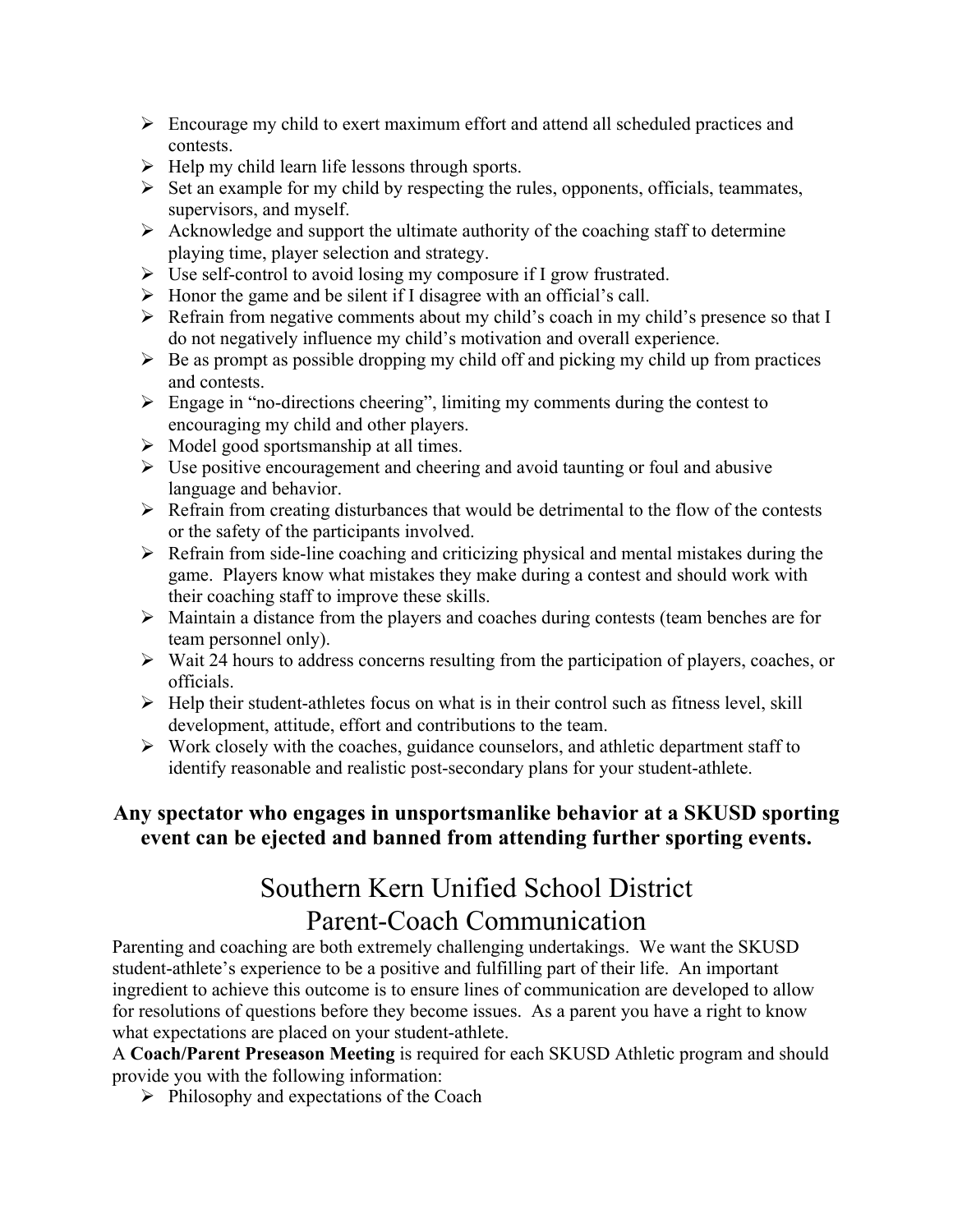- $\triangleright$  Encourage my child to exert maximum effort and attend all scheduled practices and contests.
- $\triangleright$  Help my child learn life lessons through sports.
- $\triangleright$  Set an example for my child by respecting the rules, opponents, officials, teammates, supervisors, and myself.
- $\triangleright$  Acknowledge and support the ultimate authority of the coaching staff to determine playing time, player selection and strategy.
- $\triangleright$  Use self-control to avoid losing my composure if I grow frustrated.
- $\triangleright$  Honor the game and be silent if I disagree with an official's call.
- $\triangleright$  Refrain from negative comments about my child's coach in my child's presence so that I do not negatively influence my child's motivation and overall experience.
- $\triangleright$  Be as prompt as possible dropping my child off and picking my child up from practices and contests.
- $\triangleright$  Engage in "no-directions cheering", limiting my comments during the contest to encouraging my child and other players.
- $\triangleright$  Model good sportsmanship at all times.
- $\triangleright$  Use positive encouragement and cheering and avoid taunting or foul and abusive language and behavior.
- $\triangleright$  Refrain from creating disturbances that would be detrimental to the flow of the contests or the safety of the participants involved.
- $\triangleright$  Refrain from side-line coaching and criticizing physical and mental mistakes during the game. Players know what mistakes they make during a contest and should work with their coaching staff to improve these skills.
- $\triangleright$  Maintain a distance from the players and coaches during contests (team benches are for team personnel only).
- $\triangleright$  Wait 24 hours to address concerns resulting from the participation of players, coaches, or officials.
- $\triangleright$  Help their student-athletes focus on what is in their control such as fitness level, skill development, attitude, effort and contributions to the team.
- $\triangleright$  Work closely with the coaches, guidance counselors, and athletic department staff to identify reasonable and realistic post-secondary plans for your student-athlete.

#### **Any spectator who engages in unsportsmanlike behavior at a SKUSD sporting event can be ejected and banned from attending further sporting events.**

### Southern Kern Unified School District Parent-Coach Communication

Parenting and coaching are both extremely challenging undertakings. We want the SKUSD student-athlete's experience to be a positive and fulfilling part of their life. An important ingredient to achieve this outcome is to ensure lines of communication are developed to allow for resolutions of questions before they become issues. As a parent you have a right to know what expectations are placed on your student-athlete.

A **Coach/Parent Preseason Meeting** is required for each SKUSD Athletic program and should provide you with the following information:

 $\triangleright$  Philosophy and expectations of the Coach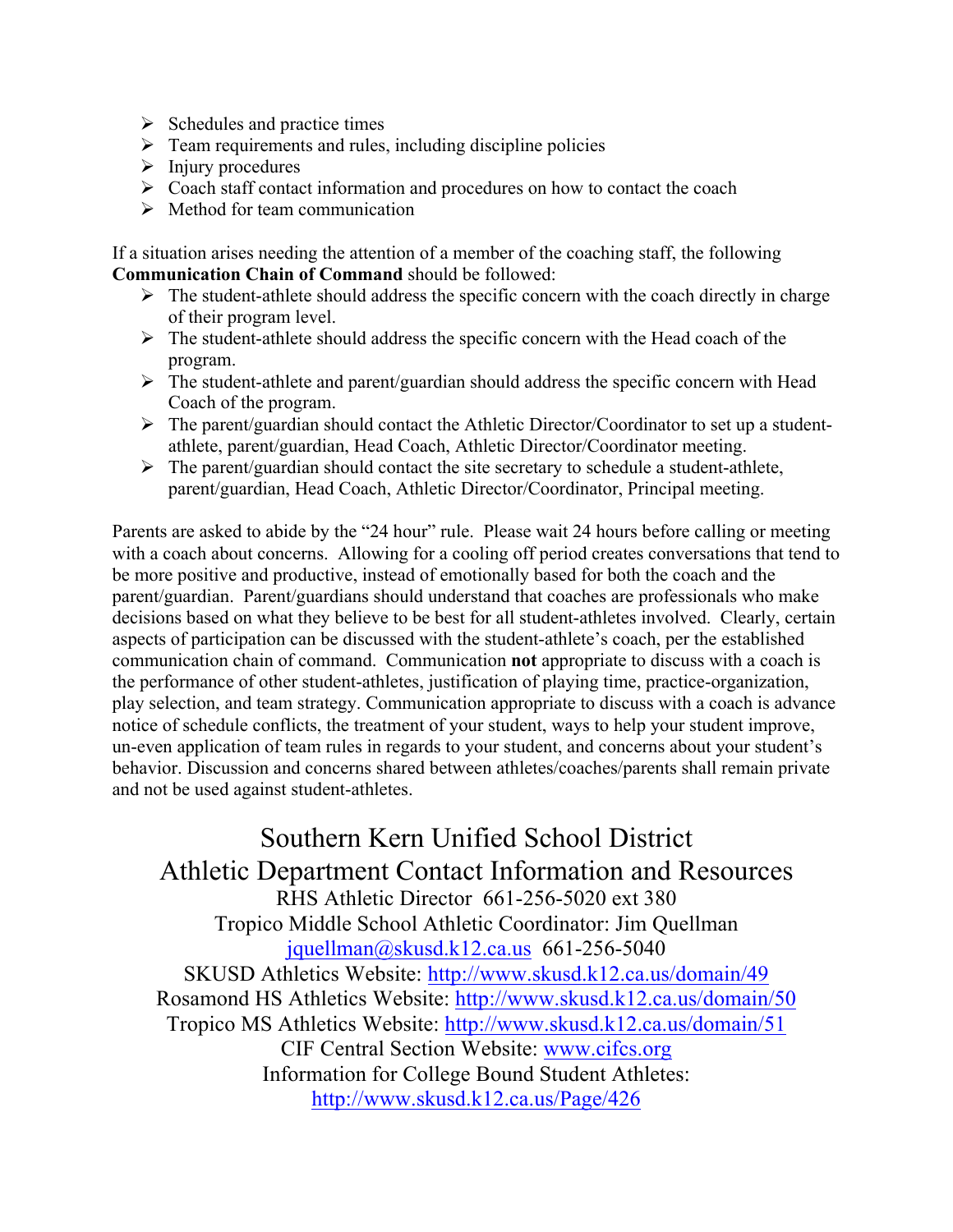- $\triangleright$  Schedules and practice times
- $\triangleright$  Team requirements and rules, including discipline policies
- $\triangleright$  Injury procedures
- $\triangleright$  Coach staff contact information and procedures on how to contact the coach
- $\triangleright$  Method for team communication

If a situation arises needing the attention of a member of the coaching staff, the following **Communication Chain of Command** should be followed:

- $\triangleright$  The student-athlete should address the specific concern with the coach directly in charge of their program level.
- $\triangleright$  The student-athlete should address the specific concern with the Head coach of the program.
- $\triangleright$  The student-athlete and parent/guardian should address the specific concern with Head Coach of the program.
- $\triangleright$  The parent/guardian should contact the Athletic Director/Coordinator to set up a studentathlete, parent/guardian, Head Coach, Athletic Director/Coordinator meeting.
- $\triangleright$  The parent/guardian should contact the site secretary to schedule a student-athlete, parent/guardian, Head Coach, Athletic Director/Coordinator, Principal meeting.

Parents are asked to abide by the "24 hour" rule. Please wait 24 hours before calling or meeting with a coach about concerns. Allowing for a cooling off period creates conversations that tend to be more positive and productive, instead of emotionally based for both the coach and the parent/guardian. Parent/guardians should understand that coaches are professionals who make decisions based on what they believe to be best for all student-athletes involved. Clearly, certain aspects of participation can be discussed with the student-athlete's coach, per the established communication chain of command. Communication **not** appropriate to discuss with a coach is the performance of other student-athletes, justification of playing time, practice-organization, play selection, and team strategy. Communication appropriate to discuss with a coach is advance notice of schedule conflicts, the treatment of your student, ways to help your student improve, un-even application of team rules in regards to your student, and concerns about your student's behavior. Discussion and concerns shared between athletes/coaches/parents shall remain private and not be used against student-athletes.

Southern Kern Unified School District Athletic Department Contact Information and Resources RHS Athletic Director 661-256-5020 ext 380 Tropico Middle School Athletic Coordinator: Jim Quellman jquellman@skusd.k12.ca.us 661-256-5040 SKUSD Athletics Website: http://www.skusd.k12.ca.us/domain/49 Rosamond HS Athletics Website: http://www.skusd.k12.ca.us/domain/50 Tropico MS Athletics Website: http://www.skusd.k12.ca.us/domain/51 CIF Central Section Website: www.cifcs.org Information for College Bound Student Athletes: http://www.skusd.k12.ca.us/Page/426